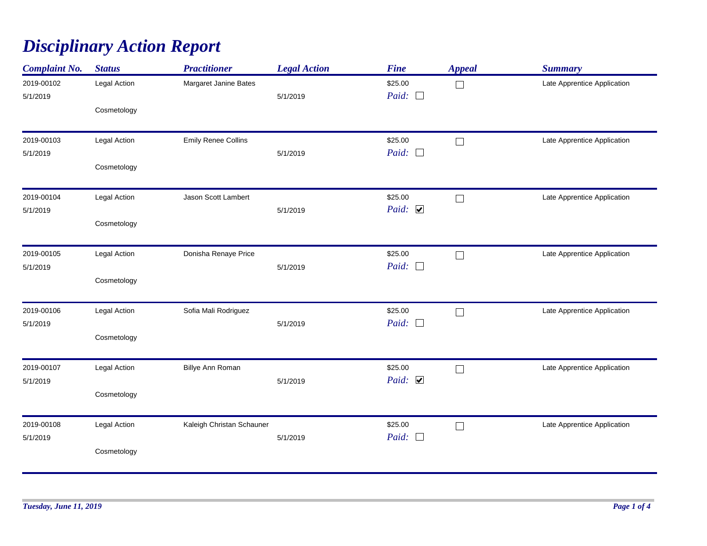## *Disciplinary Action Report*

| <b>Complaint No.</b>   | <b>Status</b> | <b>Practitioner</b>        | <b>Legal Action</b> | <b>Fine</b>                      | <b>Appeal</b> | <b>Summary</b>              |
|------------------------|---------------|----------------------------|---------------------|----------------------------------|---------------|-----------------------------|
| 2019-00102<br>5/1/2019 | Legal Action  | Margaret Janine Bates      | 5/1/2019            | \$25.00<br>Paid: $\Box$          | $\Box$        | Late Apprentice Application |
|                        | Cosmetology   |                            |                     |                                  |               |                             |
| 2019-00103<br>5/1/2019 | Legal Action  | <b>Emily Renee Collins</b> | 5/1/2019            | \$25.00<br>Paid:<br>$\Box$       | $\Box$        | Late Apprentice Application |
|                        | Cosmetology   |                            |                     |                                  |               |                             |
| 2019-00104<br>5/1/2019 | Legal Action  | Jason Scott Lambert        | 5/1/2019            | \$25.00<br>Paid: $\triangledown$ | $\Box$        | Late Apprentice Application |
|                        | Cosmetology   |                            |                     |                                  |               |                             |
| 2019-00105             | Legal Action  | Donisha Renaye Price       |                     | \$25.00                          | $\Box$        | Late Apprentice Application |
| 5/1/2019               | Cosmetology   |                            | 5/1/2019            | Paid: $\Box$                     |               |                             |
| 2019-00106             | Legal Action  | Sofia Mali Rodriguez       |                     | \$25.00                          | $\Box$        | Late Apprentice Application |
| 5/1/2019               | Cosmetology   |                            | 5/1/2019            | Paid:<br>$\Box$                  |               |                             |
| 2019-00107             | Legal Action  | Billye Ann Roman           |                     | \$25.00                          | $\Box$        | Late Apprentice Application |
| 5/1/2019               | Cosmetology   |                            | 5/1/2019            | Paid: $\triangleright$           |               |                             |
| 2019-00108             | Legal Action  | Kaleigh Christan Schauner  |                     | \$25.00                          | $\Box$        | Late Apprentice Application |
| 5/1/2019               | Cosmetology   |                            | 5/1/2019            | Paid:<br>$\Box$                  |               |                             |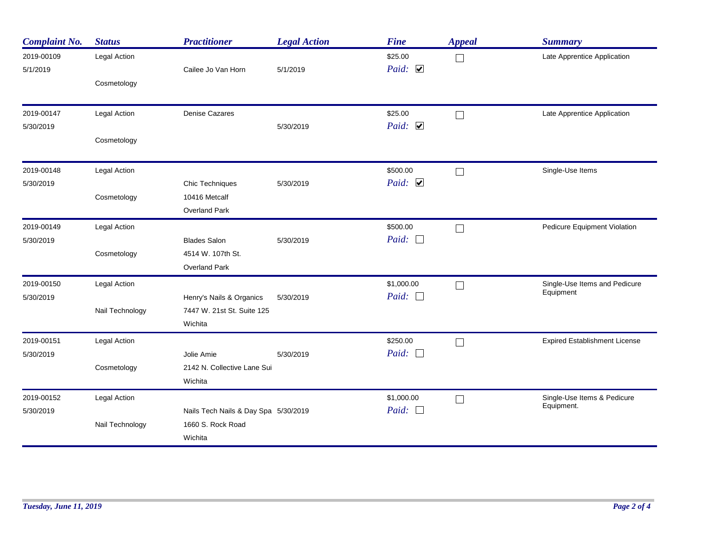| <b>Complaint No.</b>   | <b>Status</b>       | <b>Practitioner</b>                   | <b>Legal Action</b> | <b>Fine</b>                      | <b>Appeal</b>               | <b>Summary</b>                             |
|------------------------|---------------------|---------------------------------------|---------------------|----------------------------------|-----------------------------|--------------------------------------------|
| 2019-00109<br>5/1/2019 | Legal Action        | Cailee Jo Van Horn                    | 5/1/2019            | \$25.00<br>Paid: $\triangledown$ | $\mathcal{L}_{\mathcal{A}}$ | Late Apprentice Application                |
|                        | Cosmetology         |                                       |                     |                                  |                             |                                            |
| 2019-00147             | Legal Action        | <b>Denise Cazares</b>                 |                     | \$25.00                          | $\Box$                      | Late Apprentice Application                |
| 5/30/2019              | Cosmetology         |                                       | 5/30/2019           | Paid: $\triangledown$            |                             |                                            |
|                        |                     |                                       |                     |                                  |                             |                                            |
| 2019-00148             | <b>Legal Action</b> |                                       |                     | \$500.00                         | $\overline{\phantom{a}}$    | Single-Use Items                           |
| 5/30/2019              |                     | Chic Techniques                       | 5/30/2019           | Paid: $\triangledown$            |                             |                                            |
|                        | Cosmetology         | 10416 Metcalf<br><b>Overland Park</b> |                     |                                  |                             |                                            |
| 2019-00149             | Legal Action        |                                       |                     | \$500.00                         | $\mathcal{L}_{\mathcal{A}}$ | Pedicure Equipment Violation               |
| 5/30/2019              |                     | <b>Blades Salon</b>                   | 5/30/2019           | Paid: $\Box$                     |                             |                                            |
|                        | Cosmetology         | 4514 W. 107th St.                     |                     |                                  |                             |                                            |
|                        |                     | Overland Park                         |                     |                                  |                             |                                            |
| 2019-00150             | Legal Action        |                                       |                     | \$1,000.00                       |                             | Single-Use Items and Pedicure<br>Equipment |
| 5/30/2019              |                     | Henry's Nails & Organics              | 5/30/2019           | Paid: $\Box$                     |                             |                                            |
|                        | Nail Technology     | 7447 W. 21st St. Suite 125<br>Wichita |                     |                                  |                             |                                            |
| 2019-00151             | Legal Action        |                                       |                     | \$250.00                         | $\overline{\phantom{a}}$    | <b>Expired Establishment License</b>       |
| 5/30/2019              |                     | Jolie Amie                            | 5/30/2019           | Paid: $\Box$                     |                             |                                            |
|                        | Cosmetology         | 2142 N. Collective Lane Sui           |                     |                                  |                             |                                            |
|                        |                     | Wichita                               |                     |                                  |                             |                                            |
| 2019-00152             | Legal Action        |                                       |                     | \$1,000.00                       | $\mathcal{L}_{\mathcal{A}}$ | Single-Use Items & Pedicure<br>Equipment.  |
| 5/30/2019              |                     | Nails Tech Nails & Day Spa 5/30/2019  |                     | Paid: $\Box$                     |                             |                                            |
|                        | Nail Technology     | 1660 S. Rock Road                     |                     |                                  |                             |                                            |
|                        |                     | Wichita                               |                     |                                  |                             |                                            |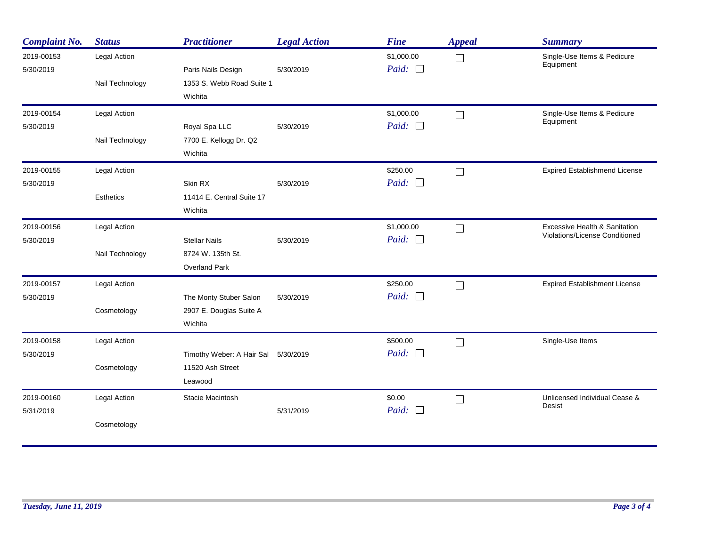| <b>Complaint No.</b>    | <b>Status</b>                          | <b>Practitioner</b>                                                | <b>Legal Action</b> | <b>Fine</b>                | <b>Appeal</b>     | <b>Summary</b>                                                  |
|-------------------------|----------------------------------------|--------------------------------------------------------------------|---------------------|----------------------------|-------------------|-----------------------------------------------------------------|
| 2019-00153<br>5/30/2019 | Legal Action<br>Nail Technology        | Paris Nails Design<br>1353 S. Webb Road Suite 1<br>Wichita         | 5/30/2019           | \$1,000.00<br>Paid: $\Box$ | $\vert \ \ \vert$ | Single-Use Items & Pedicure<br>Equipment                        |
| 2019-00154<br>5/30/2019 | Legal Action<br>Nail Technology        | Royal Spa LLC<br>7700 E. Kellogg Dr. Q2<br>Wichita                 | 5/30/2019           | \$1,000.00<br>Paid: $\Box$ | $\Box$            | Single-Use Items & Pedicure<br>Equipment                        |
| 2019-00155<br>5/30/2019 | Legal Action<br><b>Esthetics</b>       | Skin RX<br>11414 E. Central Suite 17<br>Wichita                    | 5/30/2019           | \$250.00<br>Paid: $\Box$   | $\Box$            | <b>Expired Establishmend License</b>                            |
| 2019-00156<br>5/30/2019 | <b>Legal Action</b><br>Nail Technology | <b>Stellar Nails</b><br>8724 W. 135th St.<br>Overland Park         | 5/30/2019           | \$1,000.00<br>Paid: $\Box$ | $\Box$            | Excessive Health & Sanitation<br>Violations/License Conditioned |
| 2019-00157<br>5/30/2019 | Legal Action<br>Cosmetology            | The Monty Stuber Salon<br>2907 E. Douglas Suite A<br>Wichita       | 5/30/2019           | \$250.00<br>Paid: $\Box$   | $\Box$            | <b>Expired Establishment License</b>                            |
| 2019-00158<br>5/30/2019 | Legal Action<br>Cosmetology            | Timothy Weber: A Hair Sal 5/30/2019<br>11520 Ash Street<br>Leawood |                     | \$500.00<br>Paid: $\Box$   | $\Box$            | Single-Use Items                                                |
| 2019-00160<br>5/31/2019 | Legal Action<br>Cosmetology            | Stacie Macintosh                                                   | 5/31/2019           | \$0.00<br>Paid: $\Box$     | $\Box$            | Unlicensed Individual Cease &<br>Desist                         |